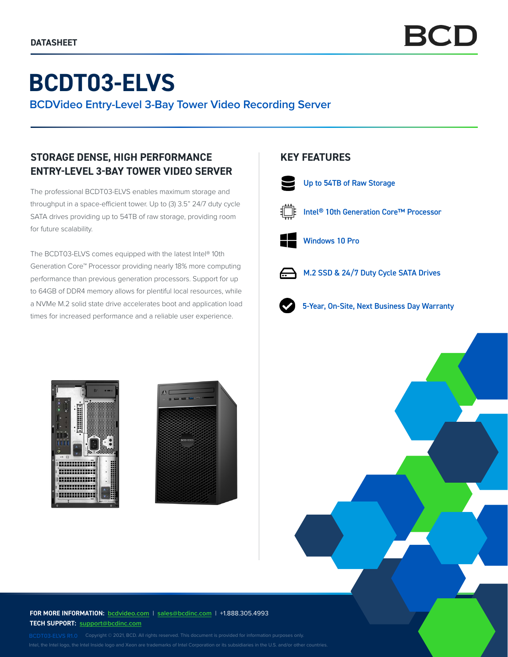# **BCDT03-ELVS**

**BCDVideo Entry-Level 3-Bay Tower Video Recording Server**

## **STORAGE DENSE, HIGH PERFORMANCE ENTRY-LEVEL 3-BAY TOWER VIDEO SERVER**

The professional BCDT03-ELVS enables maximum storage and throughput in a space-efficient tower. Up to (3) 3.5" 24/7 duty cycle SATA drives providing up to 54TB of raw storage, providing room for future scalability.

The BCDT03-ELVS comes equipped with the latest Intel® 10th Generation Core™ Processor providing nearly 18% more computing performance than previous generation processors. Support for up to 64GB of DDR4 memory allows for plentiful local resources, while a NVMe M.2 solid state drive accelerates boot and application load times for increased performance and a reliable user experience.

### **KEY FEATURES**



Up to 54TB of Raw Storage



Intel® 10th Generation Core™ Processor



Windows 10 Pro



 $\rightarrow$  M.2 SSD & 24/7 Duty Cycle SATA Drives



5-Year, On-Site, Next Business Day Warranty





**FOR MORE INFORMATION: bcdvideo.com** | **[sales@bcdinc.com](mailto:sales%40bcdinc.com?subject=)** | +1.888.305.4993 **TECH SUPPORT: [support@bcdinc.com](mailto:support%40bcdinc.com?subject=)**

Intel, the Intel logo, the Intel Inside logo and Xeon are trademarks of Intel Corporation or its subsidiaries in the U.S. and/or other countries.